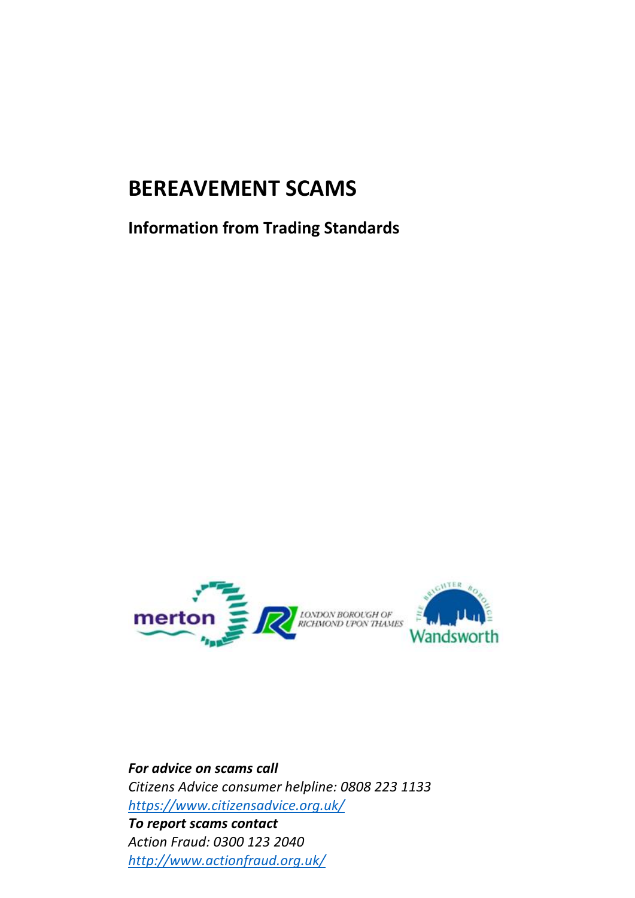# **BEREAVEMENT SCAMS**

**Information from Trading Standards**



*For advice on scams call Citizens Advice consumer helpline: 0808 223 1133 <https://www.citizensadvice.org.uk/> To report scams contact Action Fraud: 0300 123 2040 <http://www.actionfraud.org.uk/>*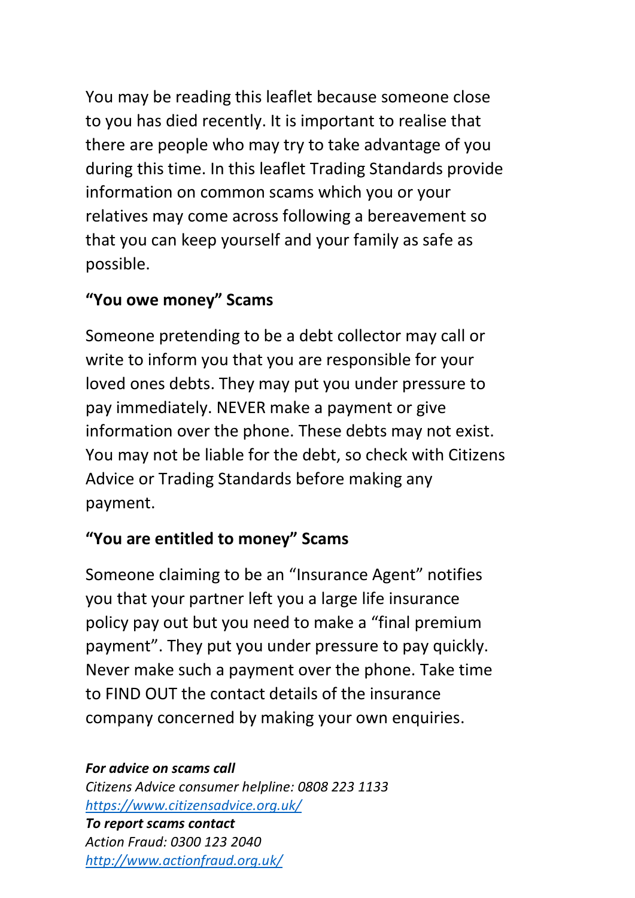You may be reading this leaflet because someone close to you has died recently. It is important to realise that there are people who may try to take advantage of you during this time. In this leaflet Trading Standards provide information on common scams which you or your relatives may come across following a bereavement so that you can keep yourself and your family as safe as possible.

#### **"You owe money" Scams**

Someone pretending to be a debt collector may call or write to inform you that you are responsible for your loved ones debts. They may put you under pressure to pay immediately. NEVER make a payment or give information over the phone. These debts may not exist. You may not be liable for the debt, so check with Citizens Advice or Trading Standards before making any payment.

### **"You are entitled to money" Scams**

Someone claiming to be an "Insurance Agent" notifies you that your partner left you a large life insurance policy pay out but you need to make a "final premium payment". They put you under pressure to pay quickly. Never make such a payment over the phone. Take time to FIND OUT the contact details of the insurance company concerned by making your own enquiries.

#### *For advice on scams call*

*Citizens Advice consumer helpline: 0808 223 1133 <https://www.citizensadvice.org.uk/>*

*To report scams contact Action Fraud: 0300 123 2040 <http://www.actionfraud.org.uk/>*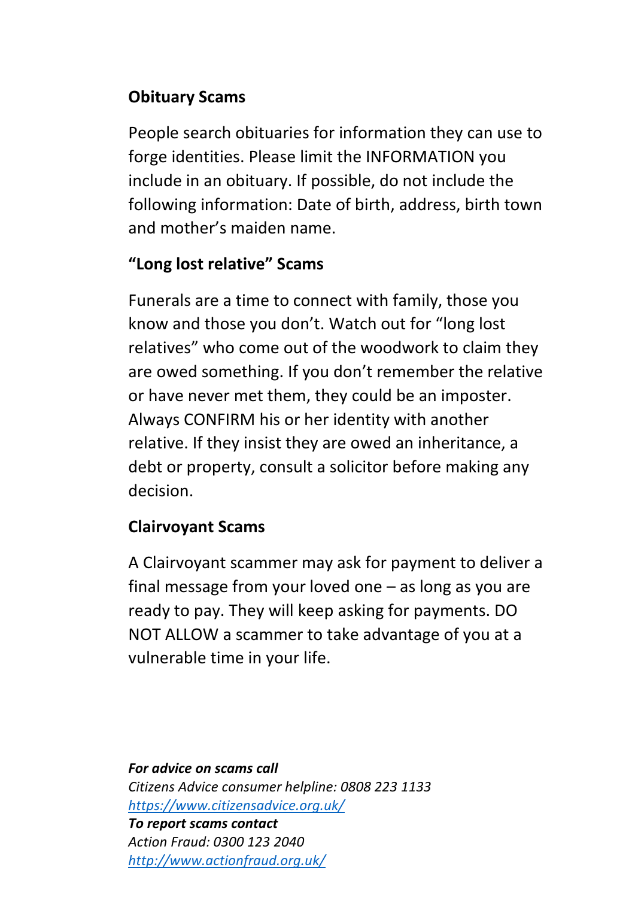## **Obituary Scams**

People search obituaries for information they can use to forge identities. Please limit the INFORMATION you include in an obituary. If possible, do not include the following information: Date of birth, address, birth town and mother's maiden name.

### **"Long lost relative" Scams**

Funerals are a time to connect with family, those you know and those you don't. Watch out for "long lost relatives" who come out of the woodwork to claim they are owed something. If you don't remember the relative or have never met them, they could be an imposter. Always CONFIRM his or her identity with another relative. If they insist they are owed an inheritance, a debt or property, consult a solicitor before making any decision.

#### **Clairvoyant Scams**

A Clairvoyant scammer may ask for payment to deliver a final message from your loved one – as long as you are ready to pay. They will keep asking for payments. DO NOT ALLOW a scammer to take advantage of you at a vulnerable time in your life.

*For advice on scams call Citizens Advice consumer helpline: 0808 223 1133 <https://www.citizensadvice.org.uk/> To report scams contact Action Fraud: 0300 123 2040 <http://www.actionfraud.org.uk/>*